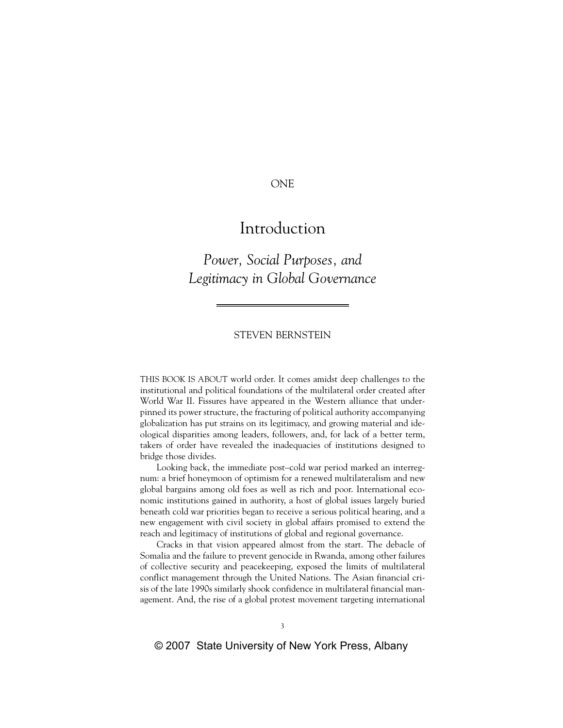### ONE

# Introduction

# *Power, Social Purposes, and Legitimacy in Global Governance*

## STEVEN BERNSTEIN

THIS BOOK IS ABOUT world order. It comes amidst deep challenges to the institutional and political foundations of the multilateral order created after World War II. Fissures have appeared in the Western alliance that underpinned its power structure, the fracturing of political authority accompanying globalization has put strains on its legitimacy, and growing material and ideological disparities among leaders, followers, and, for lack of a better term, takers of order have revealed the inadequacies of institutions designed to bridge those divides.

Looking back, the immediate post–cold war period marked an interregnum: a brief honeymoon of optimism for a renewed multilateralism and new global bargains among old foes as well as rich and poor. International economic institutions gained in authority, a host of global issues largely buried beneath cold war priorities began to receive a serious political hearing, and a new engagement with civil society in global affairs promised to extend the reach and legitimacy of institutions of global and regional governance.

Cracks in that vision appeared almost from the start. The debacle of Somalia and the failure to prevent genocide in Rwanda, among other failures of collective security and peacekeeping, exposed the limits of multilateral conflict management through the United Nations. The Asian financial crisis of the late 1990s similarly shook confidence in multilateral financial management. And, the rise of a global protest movement targeting international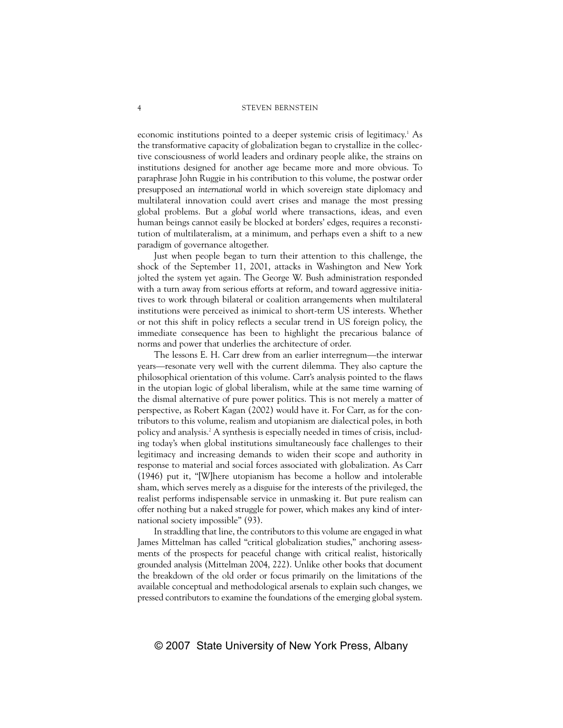economic institutions pointed to a deeper systemic crisis of legitimacy.<sup>1</sup> As the transformative capacity of globalization began to crystallize in the collective consciousness of world leaders and ordinary people alike, the strains on institutions designed for another age became more and more obvious. To paraphrase John Ruggie in his contribution to this volume, the postwar order presupposed an *international* world in which sovereign state diplomacy and multilateral innovation could avert crises and manage the most pressing global problems. But a *global* world where transactions, ideas, and even human beings cannot easily be blocked at borders' edges, requires a reconstitution of multilateralism, at a minimum, and perhaps even a shift to a new paradigm of governance altogether.

Just when people began to turn their attention to this challenge, the shock of the September 11, 2001, attacks in Washington and New York jolted the system yet again. The George W. Bush administration responded with a turn away from serious efforts at reform, and toward aggressive initiatives to work through bilateral or coalition arrangements when multilateral institutions were perceived as inimical to short-term US interests. Whether or not this shift in policy reflects a secular trend in US foreign policy, the immediate consequence has been to highlight the precarious balance of norms and power that underlies the architecture of order.

The lessons E. H. Carr drew from an earlier interregnum—the interwar years—resonate very well with the current dilemma. They also capture the philosophical orientation of this volume. Carr's analysis pointed to the flaws in the utopian logic of global liberalism, while at the same time warning of the dismal alternative of pure power politics. This is not merely a matter of perspective, as Robert Kagan (2002) would have it. For Carr, as for the contributors to this volume, realism and utopianism are dialectical poles, in both policy and analysis.2 A synthesis is especially needed in times of crisis, including today's when global institutions simultaneously face challenges to their legitimacy and increasing demands to widen their scope and authority in response to material and social forces associated with globalization. As Carr (1946) put it, "[W]here utopianism has become a hollow and intolerable sham, which serves merely as a disguise for the interests of the privileged, the realist performs indispensable service in unmasking it. But pure realism can offer nothing but a naked struggle for power, which makes any kind of international society impossible" (93).

In straddling that line, the contributors to this volume are engaged in what James Mittelman has called "critical globalization studies," anchoring assessments of the prospects for peaceful change with critical realist, historically grounded analysis (Mittelman 2004, 222). Unlike other books that document the breakdown of the old order or focus primarily on the limitations of the available conceptual and methodological arsenals to explain such changes, we pressed contributors to examine the foundations of the emerging global system.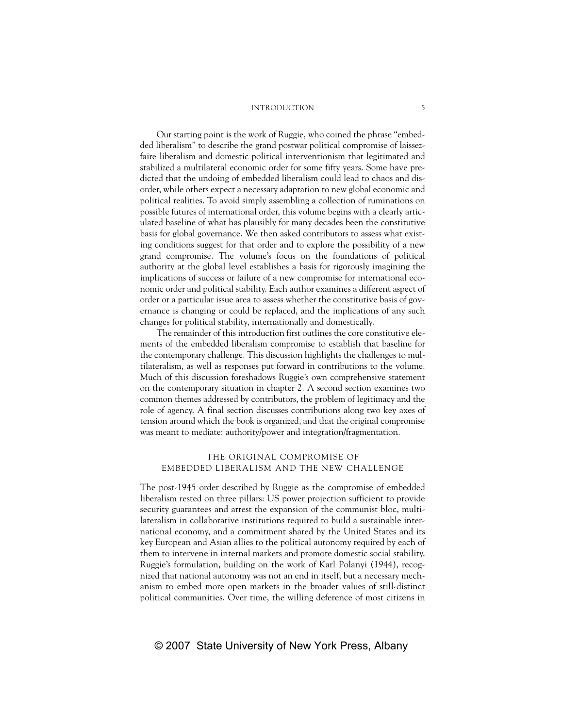Our starting point is the work of Ruggie, who coined the phrase "embedded liberalism" to describe the grand postwar political compromise of laissezfaire liberalism and domestic political interventionism that legitimated and stabilized a multilateral economic order for some fifty years. Some have predicted that the undoing of embedded liberalism could lead to chaos and disorder, while others expect a necessary adaptation to new global economic and political realities. To avoid simply assembling a collection of ruminations on possible futures of international order, this volume begins with a clearly articulated baseline of what has plausibly for many decades been the constitutive basis for global governance. We then asked contributors to assess what existing conditions suggest for that order and to explore the possibility of a new grand compromise. The volume's focus on the foundations of political authority at the global level establishes a basis for rigorously imagining the implications of success or failure of a new compromise for international economic order and political stability. Each author examines a different aspect of order or a particular issue area to assess whether the constitutive basis of governance is changing or could be replaced, and the implications of any such changes for political stability, internationally and domestically.

The remainder of this introduction first outlines the core constitutive elements of the embedded liberalism compromise to establish that baseline for the contemporary challenge. This discussion highlights the challenges to multilateralism, as well as responses put forward in contributions to the volume. Much of this discussion foreshadows Ruggie's own comprehensive statement on the contemporary situation in chapter 2. A second section examines two common themes addressed by contributors, the problem of legitimacy and the role of agency. A final section discusses contributions along two key axes of tension around which the book is organized, and that the original compromise was meant to mediate: authority/power and integration/fragmentation.

### THE ORIGINAL COMPROMISE OF EMBEDDED LIBERALISM AND THE NEW CHALLENGE

The post-1945 order described by Ruggie as the compromise of embedded liberalism rested on three pillars: US power projection sufficient to provide security guarantees and arrest the expansion of the communist bloc, multilateralism in collaborative institutions required to build a sustainable international economy, and a commitment shared by the United States and its key European and Asian allies to the political autonomy required by each of them to intervene in internal markets and promote domestic social stability. Ruggie's formulation, building on the work of Karl Polanyi (1944), recognized that national autonomy was not an end in itself, but a necessary mechanism to embed more open markets in the broader values of still-distinct political communities. Over time, the willing deference of most citizens in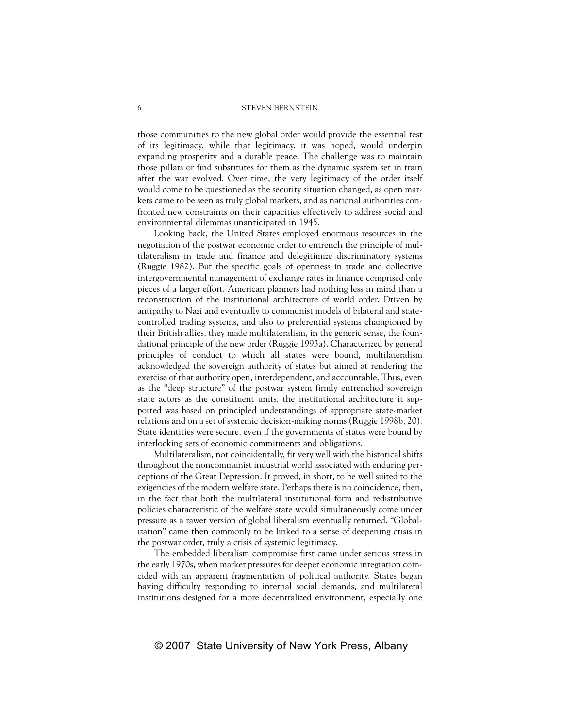those communities to the new global order would provide the essential test of its legitimacy, while that legitimacy, it was hoped, would underpin expanding prosperity and a durable peace. The challenge was to maintain those pillars or find substitutes for them as the dynamic system set in train after the war evolved. Over time, the very legitimacy of the order itself would come to be questioned as the security situation changed, as open markets came to be seen as truly global markets, and as national authorities confronted new constraints on their capacities effectively to address social and environmental dilemmas unanticipated in 1945.

Looking back, the United States employed enormous resources in the negotiation of the postwar economic order to entrench the principle of multilateralism in trade and finance and delegitimize discriminatory systems (Ruggie 1982). But the specific goals of openness in trade and collective intergovernmental management of exchange rates in finance comprised only pieces of a larger effort. American planners had nothing less in mind than a reconstruction of the institutional architecture of world order. Driven by antipathy to Nazi and eventually to communist models of bilateral and statecontrolled trading systems, and also to preferential systems championed by their British allies, they made multilateralism, in the generic sense, the foundational principle of the new order (Ruggie 1993a). Characterized by general principles of conduct to which all states were bound, multilateralism acknowledged the sovereign authority of states but aimed at rendering the exercise of that authority open, interdependent, and accountable. Thus, even as the "deep structure" of the postwar system firmly entrenched sovereign state actors as the constituent units, the institutional architecture it supported was based on principled understandings of appropriate state-market relations and on a set of systemic decision-making norms (Ruggie 1998b, 20). State identities were secure, even if the governments of states were bound by interlocking sets of economic commitments and obligations.

Multilateralism, not coincidentally, fit very well with the historical shifts throughout the noncommunist industrial world associated with enduring perceptions of the Great Depression. It proved, in short, to be well suited to the exigencies of the modern welfare state. Perhaps there is no coincidence, then, in the fact that both the multilateral institutional form and redistributive policies characteristic of the welfare state would simultaneously come under pressure as a rawer version of global liberalism eventually returned. "Globalization" came then commonly to be linked to a sense of deepening crisis in the postwar order, truly a crisis of systemic legitimacy.

The embedded liberalism compromise first came under serious stress in the early 1970s, when market pressures for deeper economic integration coincided with an apparent fragmentation of political authority. States began having difficulty responding to internal social demands, and multilateral institutions designed for a more decentralized environment, especially one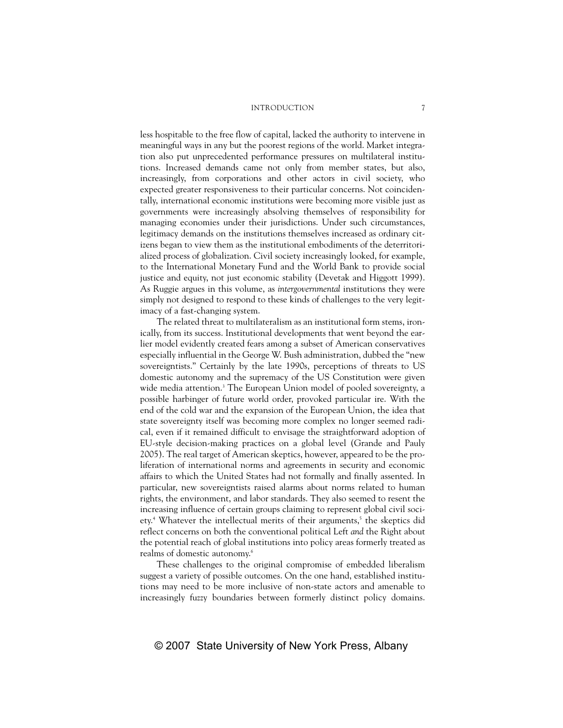less hospitable to the free flow of capital, lacked the authority to intervene in meaningful ways in any but the poorest regions of the world. Market integration also put unprecedented performance pressures on multilateral institutions. Increased demands came not only from member states, but also, increasingly, from corporations and other actors in civil society, who expected greater responsiveness to their particular concerns. Not coincidentally, international economic institutions were becoming more visible just as governments were increasingly absolving themselves of responsibility for managing economies under their jurisdictions. Under such circumstances, legitimacy demands on the institutions themselves increased as ordinary citizens began to view them as the institutional embodiments of the deterritorialized process of globalization. Civil society increasingly looked, for example, to the International Monetary Fund and the World Bank to provide social justice and equity, not just economic stability (Devetak and Higgott 1999). As Ruggie argues in this volume, as *intergovernmental* institutions they were simply not designed to respond to these kinds of challenges to the very legitimacy of a fast-changing system.

The related threat to multilateralism as an institutional form stems, ironically, from its success. Institutional developments that went beyond the earlier model evidently created fears among a subset of American conservatives especially influential in the George W. Bush administration, dubbed the "new sovereigntists." Certainly by the late 1990s, perceptions of threats to US domestic autonomy and the supremacy of the US Constitution were given wide media attention.<sup>3</sup> The European Union model of pooled sovereignty, a possible harbinger of future world order, provoked particular ire. With the end of the cold war and the expansion of the European Union, the idea that state sovereignty itself was becoming more complex no longer seemed radical, even if it remained difficult to envisage the straightforward adoption of EU-style decision-making practices on a global level (Grande and Pauly 2005). The real target of American skeptics, however, appeared to be the proliferation of international norms and agreements in security and economic affairs to which the United States had not formally and finally assented. In particular, new sovereigntists raised alarms about norms related to human rights, the environment, and labor standards. They also seemed to resent the increasing influence of certain groups claiming to represent global civil society.<sup>4</sup> Whatever the intellectual merits of their arguments,<sup>5</sup> the skeptics did reflect concerns on both the conventional political Left *and* the Right about the potential reach of global institutions into policy areas formerly treated as realms of domestic autonomy.6

These challenges to the original compromise of embedded liberalism suggest a variety of possible outcomes. On the one hand, established institutions may need to be more inclusive of non-state actors and amenable to increasingly fuzzy boundaries between formerly distinct policy domains.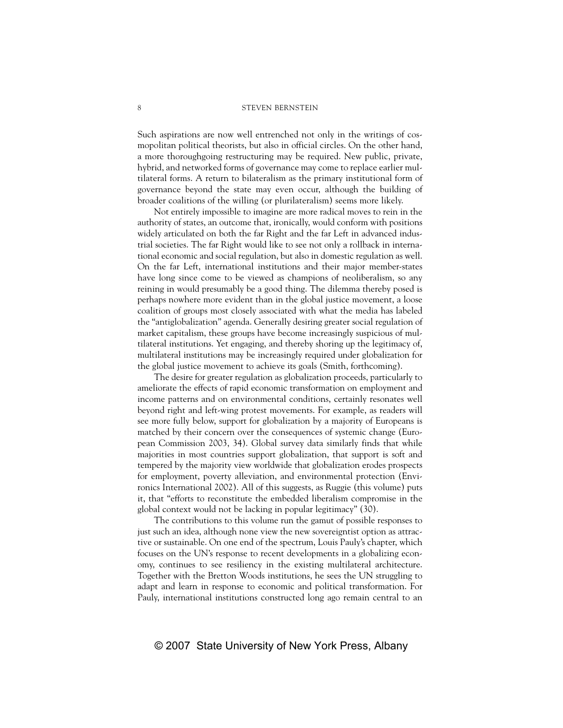Such aspirations are now well entrenched not only in the writings of cosmopolitan political theorists, but also in official circles. On the other hand, a more thoroughgoing restructuring may be required. New public, private, hybrid, and networked forms of governance may come to replace earlier multilateral forms. A return to bilateralism as the primary institutional form of governance beyond the state may even occur, although the building of broader coalitions of the willing (or plurilateralism) seems more likely.

Not entirely impossible to imagine are more radical moves to rein in the authority of states, an outcome that, ironically, would conform with positions widely articulated on both the far Right and the far Left in advanced industrial societies. The far Right would like to see not only a rollback in international economic and social regulation, but also in domestic regulation as well. On the far Left, international institutions and their major member-states have long since come to be viewed as champions of neoliberalism, so any reining in would presumably be a good thing. The dilemma thereby posed is perhaps nowhere more evident than in the global justice movement, a loose coalition of groups most closely associated with what the media has labeled the "antiglobalization" agenda. Generally desiring greater social regulation of market capitalism, these groups have become increasingly suspicious of multilateral institutions. Yet engaging, and thereby shoring up the legitimacy of, multilateral institutions may be increasingly required under globalization for the global justice movement to achieve its goals (Smith, forthcoming).

The desire for greater regulation as globalization proceeds, particularly to ameliorate the effects of rapid economic transformation on employment and income patterns and on environmental conditions, certainly resonates well beyond right and left-wing protest movements. For example, as readers will see more fully below, support for globalization by a majority of Europeans is matched by their concern over the consequences of systemic change (European Commission 2003, 34). Global survey data similarly finds that while majorities in most countries support globalization, that support is soft and tempered by the majority view worldwide that globalization erodes prospects for employment, poverty alleviation, and environmental protection (Environics International 2002). All of this suggests, as Ruggie (this volume) puts it, that "efforts to reconstitute the embedded liberalism compromise in the global context would not be lacking in popular legitimacy" (30).

The contributions to this volume run the gamut of possible responses to just such an idea, although none view the new sovereigntist option as attractive or sustainable. On one end of the spectrum, Louis Pauly's chapter, which focuses on the UN's response to recent developments in a globalizing economy, continues to see resiliency in the existing multilateral architecture. Together with the Bretton Woods institutions, he sees the UN struggling to adapt and learn in response to economic and political transformation. For Pauly, international institutions constructed long ago remain central to an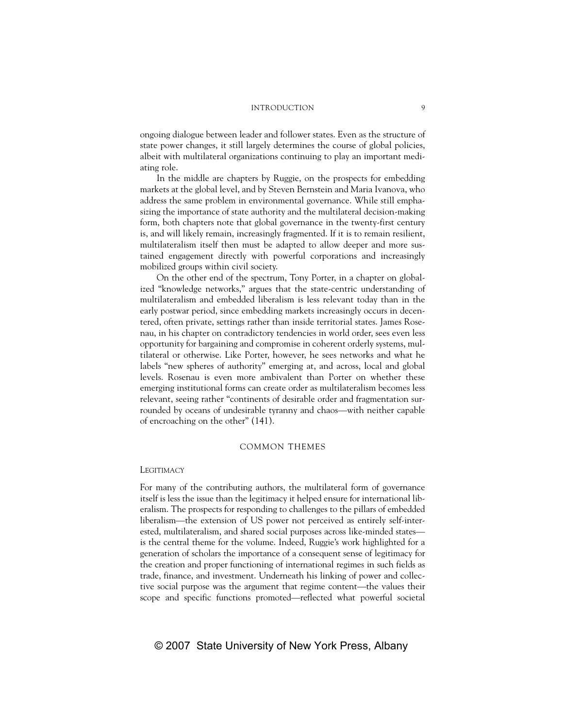ongoing dialogue between leader and follower states. Even as the structure of state power changes, it still largely determines the course of global policies, albeit with multilateral organizations continuing to play an important mediating role.

In the middle are chapters by Ruggie, on the prospects for embedding markets at the global level, and by Steven Bernstein and Maria Ivanova, who address the same problem in environmental governance. While still emphasizing the importance of state authority and the multilateral decision-making form, both chapters note that global governance in the twenty-first century is, and will likely remain, increasingly fragmented. If it is to remain resilient, multilateralism itself then must be adapted to allow deeper and more sustained engagement directly with powerful corporations and increasingly mobilized groups within civil society.

On the other end of the spectrum, Tony Porter, in a chapter on globalized "knowledge networks," argues that the state-centric understanding of multilateralism and embedded liberalism is less relevant today than in the early postwar period, since embedding markets increasingly occurs in decentered, often private, settings rather than inside territorial states. James Rosenau, in his chapter on contradictory tendencies in world order, sees even less opportunity for bargaining and compromise in coherent orderly systems, multilateral or otherwise. Like Porter, however, he sees networks and what he labels "new spheres of authority" emerging at, and across, local and global levels. Rosenau is even more ambivalent than Porter on whether these emerging institutional forms can create order as multilateralism becomes less relevant, seeing rather "continents of desirable order and fragmentation surrounded by oceans of undesirable tyranny and chaos—with neither capable of encroaching on the other" (141).

### COMMON THEMES

### **LEGITIMACY**

For many of the contributing authors, the multilateral form of governance itself is less the issue than the legitimacy it helped ensure for international liberalism. The prospects for responding to challenges to the pillars of embedded liberalism—the extension of US power not perceived as entirely self-interested, multilateralism, and shared social purposes across like-minded states is the central theme for the volume. Indeed, Ruggie's work highlighted for a generation of scholars the importance of a consequent sense of legitimacy for the creation and proper functioning of international regimes in such fields as trade, finance, and investment. Underneath his linking of power and collective social purpose was the argument that regime content—the values their scope and specific functions promoted—reflected what powerful societal

## © 2007 State University of New York Press, Albany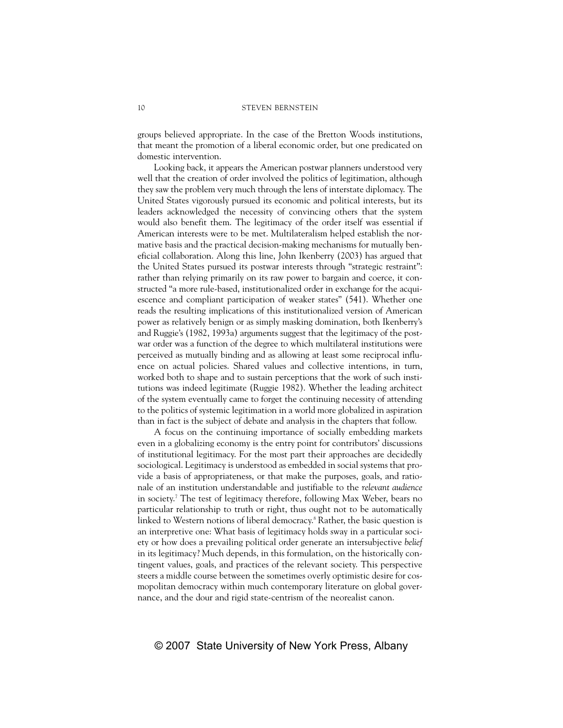groups believed appropriate. In the case of the Bretton Woods institutions, that meant the promotion of a liberal economic order, but one predicated on domestic intervention.

Looking back, it appears the American postwar planners understood very well that the creation of order involved the politics of legitimation, although they saw the problem very much through the lens of interstate diplomacy. The United States vigorously pursued its economic and political interests, but its leaders acknowledged the necessity of convincing others that the system would also benefit them. The legitimacy of the order itself was essential if American interests were to be met. Multilateralism helped establish the normative basis and the practical decision-making mechanisms for mutually beneficial collaboration. Along this line, John Ikenberry (2003) has argued that the United States pursued its postwar interests through "strategic restraint": rather than relying primarily on its raw power to bargain and coerce, it constructed "a more rule-based, institutionalized order in exchange for the acquiescence and compliant participation of weaker states" (541). Whether one reads the resulting implications of this institutionalized version of American power as relatively benign or as simply masking domination, both Ikenberry's and Ruggie's (1982, 1993a) arguments suggest that the legitimacy of the postwar order was a function of the degree to which multilateral institutions were perceived as mutually binding and as allowing at least some reciprocal influence on actual policies. Shared values and collective intentions, in turn, worked both to shape and to sustain perceptions that the work of such institutions was indeed legitimate (Ruggie 1982). Whether the leading architect of the system eventually came to forget the continuing necessity of attending to the politics of systemic legitimation in a world more globalized in aspiration than in fact is the subject of debate and analysis in the chapters that follow.

A focus on the continuing importance of socially embedding markets even in a globalizing economy is the entry point for contributors' discussions of institutional legitimacy. For the most part their approaches are decidedly sociological. Legitimacy is understood as embedded in social systems that provide a basis of appropriateness, or that make the purposes, goals, and rationale of an institution understandable and justifiable to the *relevant audience* in society.7 The test of legitimacy therefore, following Max Weber, bears no particular relationship to truth or right, thus ought not to be automatically linked to Western notions of liberal democracy.<sup>8</sup> Rather, the basic question is an interpretive one: What basis of legitimacy holds sway in a particular society or how does a prevailing political order generate an intersubjective *belief* in its legitimacy? Much depends, in this formulation, on the historically contingent values, goals, and practices of the relevant society. This perspective steers a middle course between the sometimes overly optimistic desire for cosmopolitan democracy within much contemporary literature on global governance, and the dour and rigid state-centrism of the neorealist canon.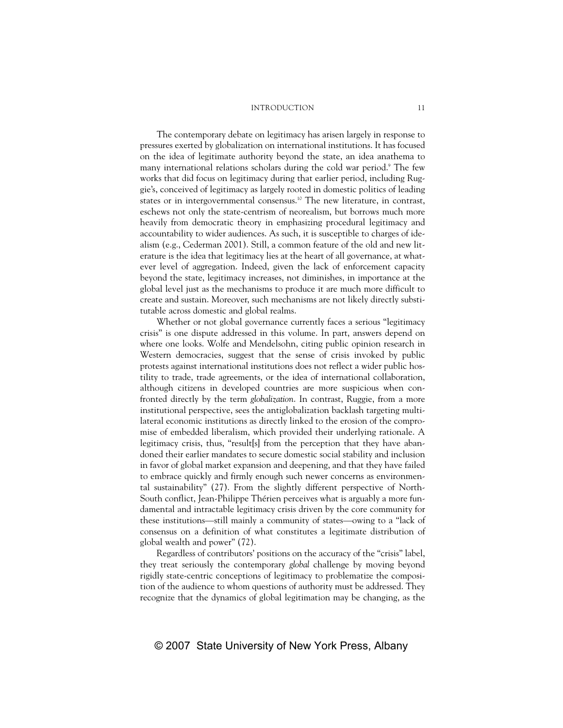The contemporary debate on legitimacy has arisen largely in response to pressures exerted by globalization on international institutions. It has focused on the idea of legitimate authority beyond the state, an idea anathema to many international relations scholars during the cold war period.<sup>9</sup> The few works that did focus on legitimacy during that earlier period, including Ruggie's, conceived of legitimacy as largely rooted in domestic politics of leading states or in intergovernmental consensus.<sup>10</sup> The new literature, in contrast, eschews not only the state-centrism of neorealism, but borrows much more heavily from democratic theory in emphasizing procedural legitimacy and accountability to wider audiences. As such, it is susceptible to charges of idealism (e.g., Cederman 2001). Still, a common feature of the old and new literature is the idea that legitimacy lies at the heart of all governance, at whatever level of aggregation. Indeed, given the lack of enforcement capacity beyond the state, legitimacy increases, not diminishes, in importance at the global level just as the mechanisms to produce it are much more difficult to create and sustain. Moreover, such mechanisms are not likely directly substitutable across domestic and global realms.

Whether or not global governance currently faces a serious "legitimacy crisis" is one dispute addressed in this volume. In part, answers depend on where one looks. Wolfe and Mendelsohn, citing public opinion research in Western democracies, suggest that the sense of crisis invoked by public protests against international institutions does not reflect a wider public hostility to trade, trade agreements, or the idea of international collaboration, although citizens in developed countries are more suspicious when confronted directly by the term *globalization*. In contrast, Ruggie, from a more institutional perspective, sees the antiglobalization backlash targeting multilateral economic institutions as directly linked to the erosion of the compromise of embedded liberalism, which provided their underlying rationale. A legitimacy crisis, thus, "result[s] from the perception that they have abandoned their earlier mandates to secure domestic social stability and inclusion in favor of global market expansion and deepening, and that they have failed to embrace quickly and firmly enough such newer concerns as environmental sustainability" (27). From the slightly different perspective of North-South conflict, Jean-Philippe Thérien perceives what is arguably a more fundamental and intractable legitimacy crisis driven by the core community for these institutions—still mainly a community of states—owing to a "lack of consensus on a definition of what constitutes a legitimate distribution of global wealth and power" (72).

Regardless of contributors' positions on the accuracy of the "crisis" label, they treat seriously the contemporary *global* challenge by moving beyond rigidly state-centric conceptions of legitimacy to problematize the composition of the audience to whom questions of authority must be addressed. They recognize that the dynamics of global legitimation may be changing, as the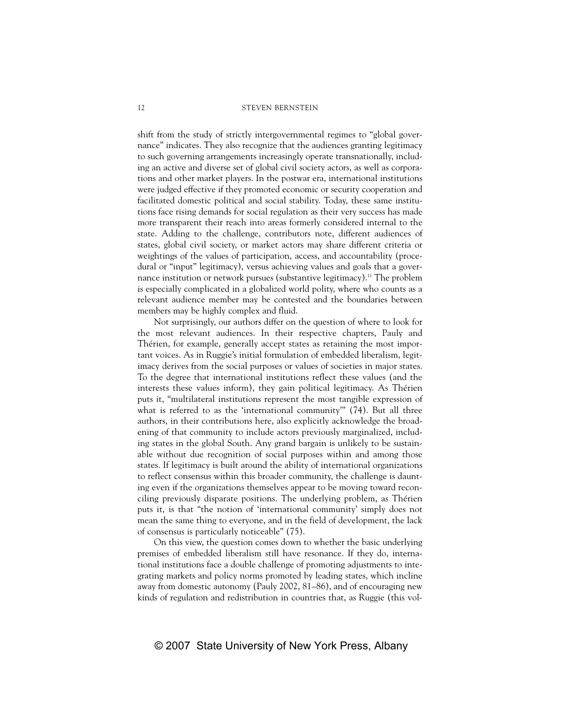shift from the study of strictly intergovernmental regimes to "global governance" indicates. They also recognize that the audiences granting legitimacy to such governing arrangements increasingly operate transnationally, including an active and diverse set of global civil society actors, as well as corporations and other market players. In the postwar era, international institutions were judged effective if they promoted economic or security cooperation and facilitated domestic political and social stability. Today, these same institutions face rising demands for social regulation as their very success has made more transparent their reach into areas formerly considered internal to the state. Adding to the challenge, contributors note, different audiences of states, global civil society, or market actors may share different criteria or weightings of the values of participation, access, and accountability (procedural or "input" legitimacy), versus achieving values and goals that a governance institution or network pursues (substantive legitimacy).<sup>11</sup> The problem is especially complicated in a globalized world polity, where who counts as a relevant audience member may be contested and the boundaries between members may be highly complex and fluid.

Not surprisingly, our authors differ on the question of where to look for the most relevant audiences. In their respective chapters, Pauly and Thérien, for example, generally accept states as retaining the most important voices. As in Ruggie's initial formulation of embedded liberalism, legitimacy derives from the social purposes or values of societies in major states. To the degree that international institutions reflect these values (and the interests these values inform), they gain political legitimacy. As Thérien puts it, "multilateral institutions represent the most tangible expression of what is referred to as the 'international community'" (74). But all three authors, in their contributions here, also explicitly acknowledge the broadening of that community to include actors previously marginalized, including states in the global South. Any grand bargain is unlikely to be sustainable without due recognition of social purposes within and among those states. If legitimacy is built around the ability of international organizations to reflect consensus within this broader community, the challenge is daunting even if the organizations themselves appear to be moving toward reconciling previously disparate positions. The underlying problem, as Thérien puts it, is that "the notion of 'international community' simply does not mean the same thing to everyone, and in the field of development, the lack of consensus is particularly noticeable" (75).

On this view, the question comes down to whether the basic underlying premises of embedded liberalism still have resonance. If they do, international institutions face a double challenge of promoting adjustments to integrating markets and policy norms promoted by leading states, which incline away from domestic autonomy (Pauly 2002, 81–86), and of encouraging new kinds of regulation and redistribution in countries that, as Ruggie (this vol-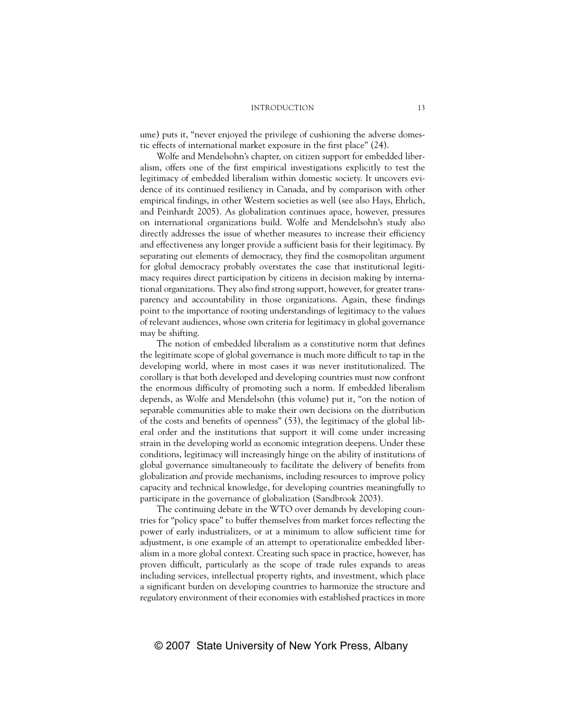ume) puts it, "never enjoyed the privilege of cushioning the adverse domestic effects of international market exposure in the first place" (24).

Wolfe and Mendelsohn's chapter, on citizen support for embedded liberalism, offers one of the first empirical investigations explicitly to test the legitimacy of embedded liberalism within domestic society. It uncovers evidence of its continued resiliency in Canada, and by comparison with other empirical findings, in other Western societies as well (see also Hays, Ehrlich, and Peinhardt 2005). As globalization continues apace, however, pressures on international organizations build. Wolfe and Mendelsohn's study also directly addresses the issue of whether measures to increase their efficiency and effectiveness any longer provide a sufficient basis for their legitimacy. By separating out elements of democracy, they find the cosmopolitan argument for global democracy probably overstates the case that institutional legitimacy requires direct participation by citizens in decision making by international organizations. They also find strong support, however, for greater transparency and accountability in those organizations. Again, these findings point to the importance of rooting understandings of legitimacy to the values of relevant audiences, whose own criteria for legitimacy in global governance may be shifting.

The notion of embedded liberalism as a constitutive norm that defines the legitimate scope of global governance is much more difficult to tap in the developing world, where in most cases it was never institutionalized. The corollary is that both developed and developing countries must now confront the enormous difficulty of promoting such a norm. If embedded liberalism depends, as Wolfe and Mendelsohn (this volume) put it, "on the notion of separable communities able to make their own decisions on the distribution of the costs and benefits of openness" (53), the legitimacy of the global liberal order and the institutions that support it will come under increasing strain in the developing world as economic integration deepens. Under these conditions, legitimacy will increasingly hinge on the ability of institutions of global governance simultaneously to facilitate the delivery of benefits from globalization *and* provide mechanisms, including resources to improve policy capacity and technical knowledge, for developing countries meaningfully to participate in the governance of globalization (Sandbrook 2003).

The continuing debate in the WTO over demands by developing countries for "policy space" to buffer themselves from market forces reflecting the power of early industrializers, or at a minimum to allow sufficient time for adjustment, is one example of an attempt to operationalize embedded liberalism in a more global context. Creating such space in practice, however, has proven difficult, particularly as the scope of trade rules expands to areas including services, intellectual property rights, and investment, which place a significant burden on developing countries to harmonize the structure and regulatory environment of their economies with established practices in more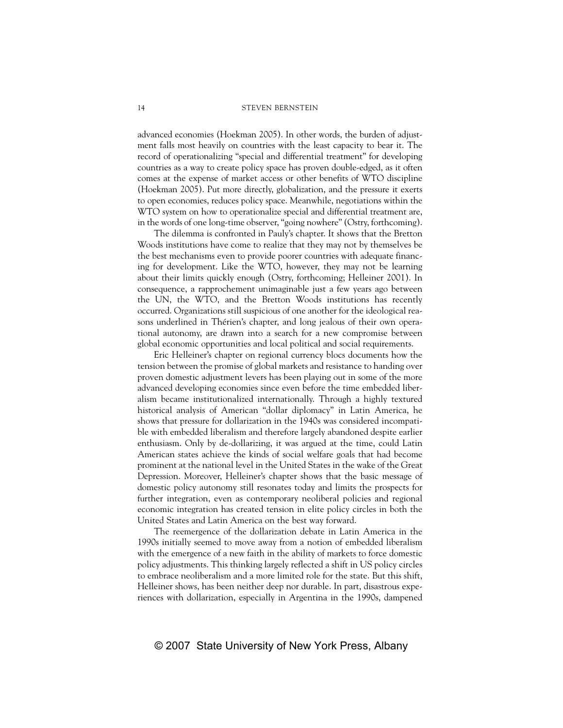advanced economies (Hoekman 2005). In other words, the burden of adjustment falls most heavily on countries with the least capacity to bear it. The record of operationalizing "special and differential treatment" for developing countries as a way to create policy space has proven double-edged, as it often comes at the expense of market access or other benefits of WTO discipline (Hoekman 2005). Put more directly, globalization, and the pressure it exerts to open economies, reduces policy space. Meanwhile, negotiations within the WTO system on how to operationalize special and differential treatment are, in the words of one long-time observer, "going nowhere" (Ostry, forthcoming).

The dilemma is confronted in Pauly's chapter. It shows that the Bretton Woods institutions have come to realize that they may not by themselves be the best mechanisms even to provide poorer countries with adequate financing for development. Like the WTO, however, they may not be learning about their limits quickly enough (Ostry, forthcoming; Helleiner 2001). In consequence, a rapprochement unimaginable just a few years ago between the UN, the WTO, and the Bretton Woods institutions has recently occurred. Organizations still suspicious of one another for the ideological reasons underlined in Thérien's chapter, and long jealous of their own operational autonomy, are drawn into a search for a new compromise between global economic opportunities and local political and social requirements.

Eric Helleiner's chapter on regional currency blocs documents how the tension between the promise of global markets and resistance to handing over proven domestic adjustment levers has been playing out in some of the more advanced developing economies since even before the time embedded liberalism became institutionalized internationally. Through a highly textured historical analysis of American "dollar diplomacy" in Latin America, he shows that pressure for dollarization in the 1940s was considered incompatible with embedded liberalism and therefore largely abandoned despite earlier enthusiasm. Only by de-dollarizing, it was argued at the time, could Latin American states achieve the kinds of social welfare goals that had become prominent at the national level in the United States in the wake of the Great Depression. Moreover, Helleiner's chapter shows that the basic message of domestic policy autonomy still resonates today and limits the prospects for further integration, even as contemporary neoliberal policies and regional economic integration has created tension in elite policy circles in both the United States and Latin America on the best way forward.

The reemergence of the dollarization debate in Latin America in the 1990s initially seemed to move away from a notion of embedded liberalism with the emergence of a new faith in the ability of markets to force domestic policy adjustments. This thinking largely reflected a shift in US policy circles to embrace neoliberalism and a more limited role for the state. But this shift, Helleiner shows, has been neither deep nor durable. In part, disastrous experiences with dollarization, especially in Argentina in the 1990s, dampened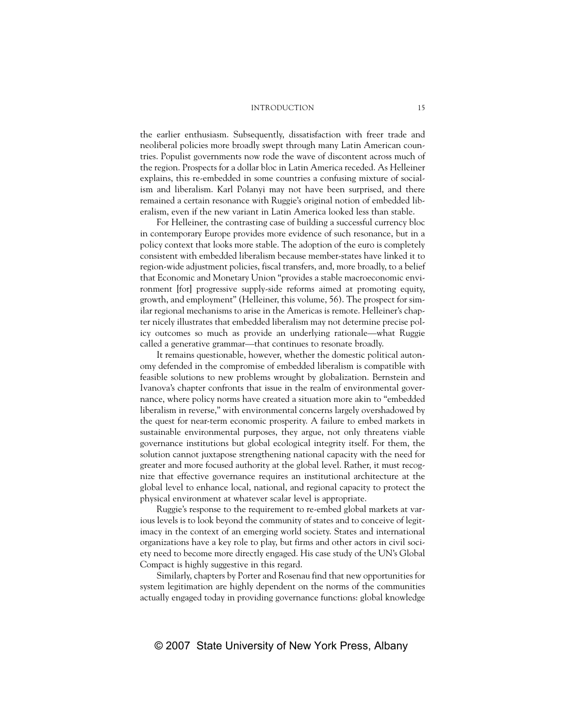the earlier enthusiasm. Subsequently, dissatisfaction with freer trade and neoliberal policies more broadly swept through many Latin American countries. Populist governments now rode the wave of discontent across much of the region. Prospects for a dollar bloc in Latin America receded. As Helleiner explains, this re-embedded in some countries a confusing mixture of socialism and liberalism. Karl Polanyi may not have been surprised, and there remained a certain resonance with Ruggie's original notion of embedded liberalism, even if the new variant in Latin America looked less than stable.

For Helleiner, the contrasting case of building a successful currency bloc in contemporary Europe provides more evidence of such resonance, but in a policy context that looks more stable. The adoption of the euro is completely consistent with embedded liberalism because member-states have linked it to region-wide adjustment policies, fiscal transfers, and, more broadly, to a belief that Economic and Monetary Union "provides a stable macroeconomic environment [for] progressive supply-side reforms aimed at promoting equity, growth, and employment" (Helleiner, this volume, 56). The prospect for similar regional mechanisms to arise in the Americas is remote. Helleiner's chapter nicely illustrates that embedded liberalism may not determine precise policy outcomes so much as provide an underlying rationale—what Ruggie called a generative grammar—that continues to resonate broadly.

It remains questionable, however, whether the domestic political autonomy defended in the compromise of embedded liberalism is compatible with feasible solutions to new problems wrought by globalization. Bernstein and Ivanova's chapter confronts that issue in the realm of environmental governance, where policy norms have created a situation more akin to "embedded liberalism in reverse," with environmental concerns largely overshadowed by the quest for near-term economic prosperity. A failure to embed markets in sustainable environmental purposes, they argue, not only threatens viable governance institutions but global ecological integrity itself. For them, the solution cannot juxtapose strengthening national capacity with the need for greater and more focused authority at the global level. Rather, it must recognize that effective governance requires an institutional architecture at the global level to enhance local, national, and regional capacity to protect the physical environment at whatever scalar level is appropriate.

Ruggie's response to the requirement to re-embed global markets at various levels is to look beyond the community of states and to conceive of legitimacy in the context of an emerging world society. States and international organizations have a key role to play, but firms and other actors in civil society need to become more directly engaged. His case study of the UN's Global Compact is highly suggestive in this regard.

Similarly, chapters by Porter and Rosenau find that new opportunities for system legitimation are highly dependent on the norms of the communities actually engaged today in providing governance functions: global knowledge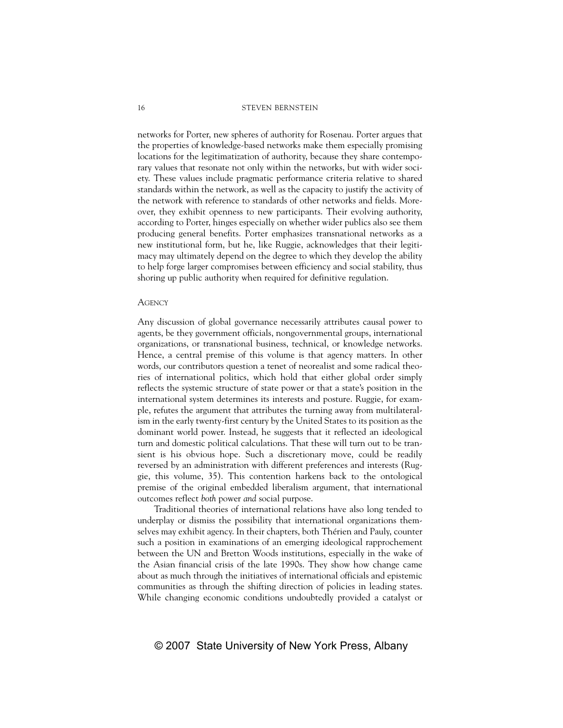networks for Porter, new spheres of authority for Rosenau. Porter argues that the properties of knowledge-based networks make them especially promising locations for the legitimatization of authority, because they share contemporary values that resonate not only within the networks, but with wider society. These values include pragmatic performance criteria relative to shared standards within the network, as well as the capacity to justify the activity of the network with reference to standards of other networks and fields. Moreover, they exhibit openness to new participants. Their evolving authority, according to Porter, hinges especially on whether wider publics also see them producing general benefits. Porter emphasizes transnational networks as a new institutional form, but he, like Ruggie, acknowledges that their legitimacy may ultimately depend on the degree to which they develop the ability to help forge larger compromises between efficiency and social stability, thus shoring up public authority when required for definitive regulation.

### **AGENCY**

Any discussion of global governance necessarily attributes causal power to agents, be they government officials, nongovernmental groups, international organizations, or transnational business, technical, or knowledge networks. Hence, a central premise of this volume is that agency matters. In other words, our contributors question a tenet of neorealist and some radical theories of international politics, which hold that either global order simply reflects the systemic structure of state power or that a state's position in the international system determines its interests and posture. Ruggie, for example, refutes the argument that attributes the turning away from multilateralism in the early twenty-first century by the United States to its position as the dominant world power. Instead, he suggests that it reflected an ideological turn and domestic political calculations. That these will turn out to be transient is his obvious hope. Such a discretionary move, could be readily reversed by an administration with different preferences and interests (Ruggie, this volume, 35). This contention harkens back to the ontological premise of the original embedded liberalism argument, that international outcomes reflect *both* power *and* social purpose.

Traditional theories of international relations have also long tended to underplay or dismiss the possibility that international organizations themselves may exhibit agency. In their chapters, both Thérien and Pauly, counter such a position in examinations of an emerging ideological rapprochement between the UN and Bretton Woods institutions, especially in the wake of the Asian financial crisis of the late 1990s. They show how change came about as much through the initiatives of international officials and epistemic communities as through the shifting direction of policies in leading states. While changing economic conditions undoubtedly provided a catalyst or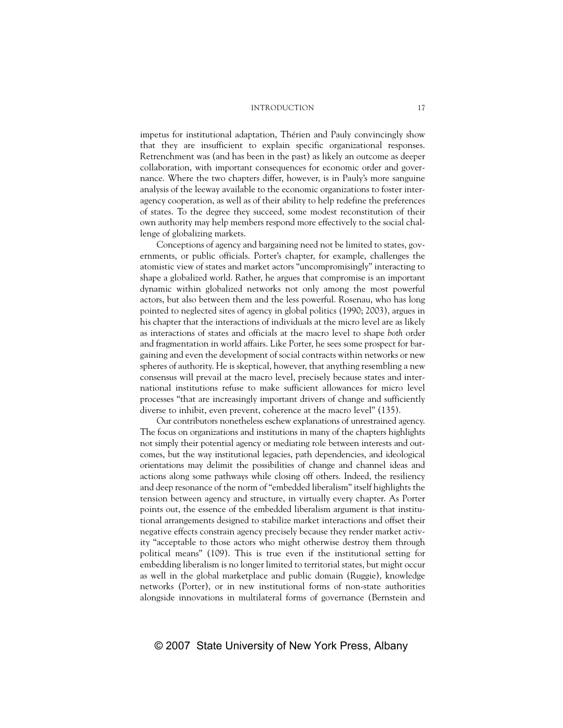impetus for institutional adaptation, Thérien and Pauly convincingly show that they are insufficient to explain specific organizational responses. Retrenchment was (and has been in the past) as likely an outcome as deeper collaboration, with important consequences for economic order and governance. Where the two chapters differ, however, is in Pauly's more sanguine analysis of the leeway available to the economic organizations to foster interagency cooperation, as well as of their ability to help redefine the preferences of states. To the degree they succeed, some modest reconstitution of their own authority may help members respond more effectively to the social challenge of globalizing markets.

Conceptions of agency and bargaining need not be limited to states, governments, or public officials. Porter's chapter, for example, challenges the atomistic view of states and market actors "uncompromisingly" interacting to shape a globalized world. Rather, he argues that compromise is an important dynamic within globalized networks not only among the most powerful actors, but also between them and the less powerful. Rosenau, who has long pointed to neglected sites of agency in global politics (1990; 2003), argues in his chapter that the interactions of individuals at the micro level are as likely as interactions of states and officials at the macro level to shape *both* order and fragmentation in world affairs. Like Porter, he sees some prospect for bargaining and even the development of social contracts within networks or new spheres of authority. He is skeptical, however, that anything resembling a new consensus will prevail at the macro level, precisely because states and international institutions refuse to make sufficient allowances for micro level processes "that are increasingly important drivers of change and sufficiently diverse to inhibit, even prevent, coherence at the macro level" (135).

Our contributors nonetheless eschew explanations of unrestrained agency. The focus on organizations and institutions in many of the chapters highlights not simply their potential agency or mediating role between interests and outcomes, but the way institutional legacies, path dependencies, and ideological orientations may delimit the possibilities of change and channel ideas and actions along some pathways while closing off others. Indeed, the resiliency and deep resonance of the norm of "embedded liberalism" itself highlights the tension between agency and structure, in virtually every chapter. As Porter points out, the essence of the embedded liberalism argument is that institutional arrangements designed to stabilize market interactions and offset their negative effects constrain agency precisely because they render market activity "acceptable to those actors who might otherwise destroy them through political means" (109). This is true even if the institutional setting for embedding liberalism is no longer limited to territorial states, but might occur as well in the global marketplace and public domain (Ruggie), knowledge networks (Porter), or in new institutional forms of non-state authorities alongside innovations in multilateral forms of governance (Bernstein and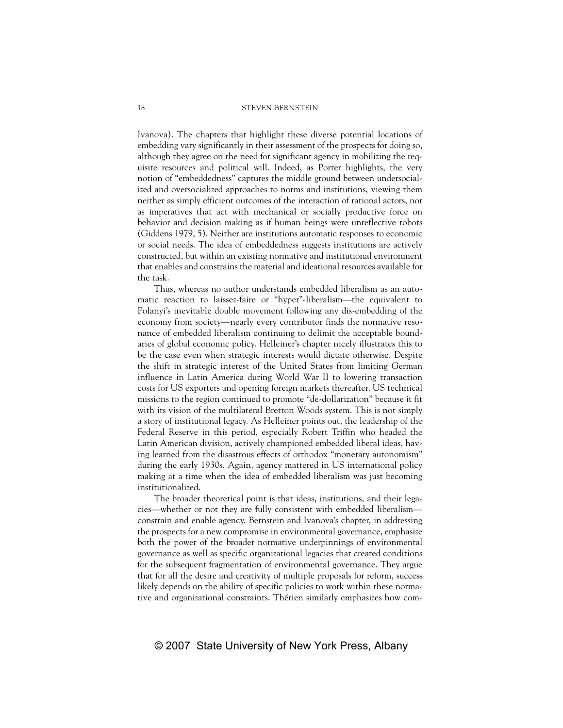Ivanova). The chapters that highlight these diverse potential locations of embedding vary significantly in their assessment of the prospects for doing so, although they agree on the need for significant agency in mobilizing the requisite resources and political will. Indeed, as Porter highlights, the very notion of "embeddedness" captures the middle ground between undersocialized and oversocialized approaches to norms and institutions, viewing them neither as simply efficient outcomes of the interaction of rational actors, nor as imperatives that act with mechanical or socially productive force on behavior and decision making as if human beings were unreflective robots (Giddens 1979, 5). Neither are institutions automatic responses to economic or social needs. The idea of embeddedness suggests institutions are actively constructed, but within an existing normative and institutional environment that enables and constrains the material and ideational resources available for the task.

Thus, whereas no author understands embedded liberalism as an automatic reaction to laissez-faire or "hyper"-liberalism—the equivalent to Polanyi's inevitable double movement following any dis-embedding of the economy from society—nearly every contributor finds the normative resonance of embedded liberalism continuing to delimit the acceptable boundaries of global economic policy. Helleiner's chapter nicely illustrates this to be the case even when strategic interests would dictate otherwise. Despite the shift in strategic interest of the United States from limiting German influence in Latin America during World War II to lowering transaction costs for US exporters and opening foreign markets thereafter, US technical missions to the region continued to promote "de-dollarization" because it fit with its vision of the multilateral Bretton Woods system. This is not simply a story of institutional legacy. As Helleiner points out, the leadership of the Federal Reserve in this period, especially Robert Triffin who headed the Latin American division, actively championed embedded liberal ideas, having learned from the disastrous effects of orthodox "monetary autonomism" during the early 1930s. Again, agency mattered in US international policy making at a time when the idea of embedded liberalism was just becoming institutionalized.

The broader theoretical point is that ideas, institutions, and their legacies—whether or not they are fully consistent with embedded liberalism constrain and enable agency. Bernstein and Ivanova's chapter, in addressing the prospects for a new compromise in environmental governance, emphasize both the power of the broader normative underpinnings of environmental governance as well as specific organizational legacies that created conditions for the subsequent fragmentation of environmental governance. They argue that for all the desire and creativity of multiple proposals for reform, success likely depends on the ability of specific policies to work within these normative and organizational constraints. Thérien similarly emphasizes how com-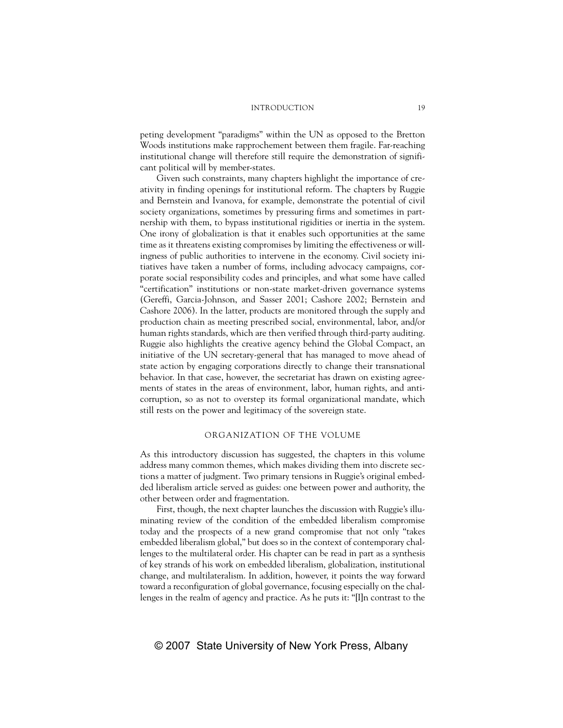peting development "paradigms" within the UN as opposed to the Bretton Woods institutions make rapprochement between them fragile. Far-reaching institutional change will therefore still require the demonstration of significant political will by member-states.

Given such constraints, many chapters highlight the importance of creativity in finding openings for institutional reform. The chapters by Ruggie and Bernstein and Ivanova, for example, demonstrate the potential of civil society organizations, sometimes by pressuring firms and sometimes in partnership with them, to bypass institutional rigidities or inertia in the system. One irony of globalization is that it enables such opportunities at the same time as it threatens existing compromises by limiting the effectiveness or willingness of public authorities to intervene in the economy. Civil society initiatives have taken a number of forms, including advocacy campaigns, corporate social responsibility codes and principles, and what some have called "certification" institutions or non-state market-driven governance systems (Gereffi, Garcia-Johnson, and Sasser 2001; Cashore 2002; Bernstein and Cashore 2006). In the latter, products are monitored through the supply and production chain as meeting prescribed social, environmental, labor, and/or human rights standards, which are then verified through third-party auditing. Ruggie also highlights the creative agency behind the Global Compact, an initiative of the UN secretary-general that has managed to move ahead of state action by engaging corporations directly to change their transnational behavior. In that case, however, the secretariat has drawn on existing agreements of states in the areas of environment, labor, human rights, and anticorruption, so as not to overstep its formal organizational mandate, which still rests on the power and legitimacy of the sovereign state.

### ORGANIZATION OF THE VOLUME

As this introductory discussion has suggested, the chapters in this volume address many common themes, which makes dividing them into discrete sections a matter of judgment. Two primary tensions in Ruggie's original embedded liberalism article served as guides: one between power and authority, the other between order and fragmentation.

First, though, the next chapter launches the discussion with Ruggie's illuminating review of the condition of the embedded liberalism compromise today and the prospects of a new grand compromise that not only "takes embedded liberalism global," but does so in the context of contemporary challenges to the multilateral order. His chapter can be read in part as a synthesis of key strands of his work on embedded liberalism, globalization, institutional change, and multilateralism. In addition, however, it points the way forward toward a reconfiguration of global governance, focusing especially on the challenges in the realm of agency and practice. As he puts it: "[I]n contrast to the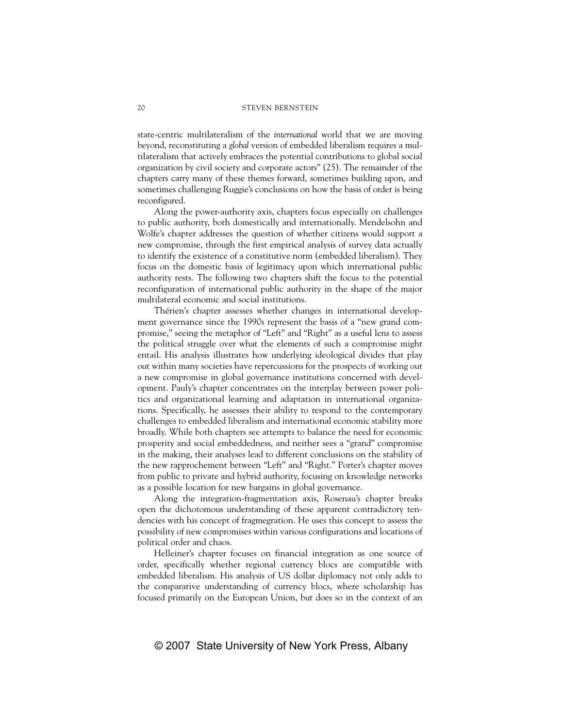state-centric multilateralism of the *international* world that we are moving beyond, reconstituting a *global* version of embedded liberalism requires a multilateralism that actively embraces the potential contributions to global social organization by civil society and corporate actors" (25). The remainder of the chapters carry many of these themes forward, sometimes building upon, and sometimes challenging Ruggie's conclusions on how the basis of order is being reconfigured.

Along the power-authority axis, chapters focus especially on challenges to public authority, both domestically and internationally. Mendelsohn and Wolfe's chapter addresses the question of whether citizens would support a new compromise, through the first empirical analysis of survey data actually to identify the existence of a constitutive norm (embedded liberalism). They focus on the domestic basis of legitimacy upon which international public authority rests. The following two chapters shift the focus to the potential reconfiguration of international public authority in the shape of the major multilateral economic and social institutions.

Thérien's chapter assesses whether changes in international development governance since the 1990s represent the basis of a "new grand compromise," seeing the metaphor of "Left" and "Right" as a useful lens to assess the political struggle over what the elements of such a compromise might entail. His analysis illustrates how underlying ideological divides that play out within many societies have repercussions for the prospects of working out a new compromise in global governance institutions concerned with development. Pauly's chapter concentrates on the interplay between power politics and organizational learning and adaptation in international organizations. Specifically, he assesses their ability to respond to the contemporary challenges to embedded liberalism and international economic stability more broadly. While both chapters see attempts to balance the need for economic prosperity and social embeddedness, and neither sees a "grand" compromise in the making, their analyses lead to different conclusions on the stability of the new rapprochement between "Left" and "Right." Porter's chapter moves from public to private and hybrid authority, focusing on knowledge networks as a possible location for new bargains in global governance.

Along the integration-fragmentation axis, Rosenau's chapter breaks open the dichotomous understanding of these apparent contradictory tendencies with his concept of fragmegration. He uses this concept to assess the possibility of new compromises within various configurations and locations of political order and chaos.

Helleiner's chapter focuses on financial integration as one source of order, specifically whether regional currency blocs are compatible with embedded liberalism. His analysis of US dollar diplomacy not only adds to the comparative understanding of currency blocs, where scholarship has focused primarily on the European Union, but does so in the context of an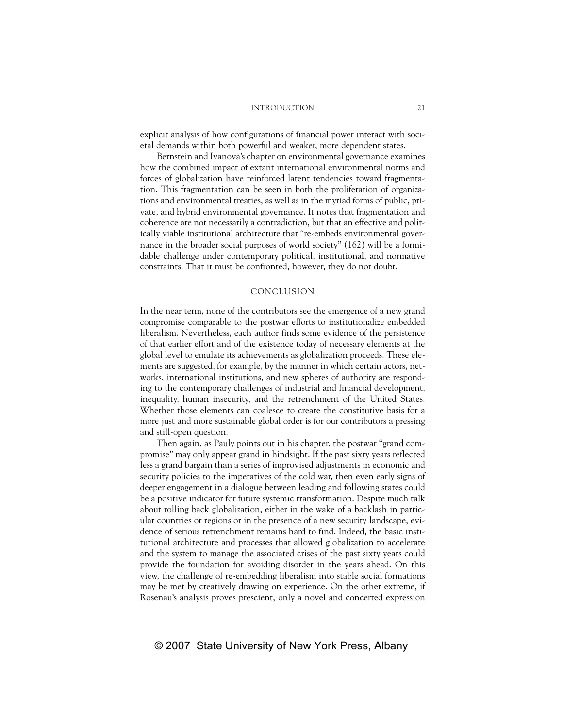explicit analysis of how configurations of financial power interact with societal demands within both powerful and weaker, more dependent states.

Bernstein and Ivanova's chapter on environmental governance examines how the combined impact of extant international environmental norms and forces of globalization have reinforced latent tendencies toward fragmentation. This fragmentation can be seen in both the proliferation of organizations and environmental treaties, as well as in the myriad forms of public, private, and hybrid environmental governance. It notes that fragmentation and coherence are not necessarily a contradiction, but that an effective and politically viable institutional architecture that "re-embeds environmental governance in the broader social purposes of world society" (162) will be a formidable challenge under contemporary political, institutional, and normative constraints. That it must be confronted, however, they do not doubt.

### CONCLUSION

In the near term, none of the contributors see the emergence of a new grand compromise comparable to the postwar efforts to institutionalize embedded liberalism. Nevertheless, each author finds some evidence of the persistence of that earlier effort and of the existence today of necessary elements at the global level to emulate its achievements as globalization proceeds. These elements are suggested, for example, by the manner in which certain actors, networks, international institutions, and new spheres of authority are responding to the contemporary challenges of industrial and financial development, inequality, human insecurity, and the retrenchment of the United States. Whether those elements can coalesce to create the constitutive basis for a more just and more sustainable global order is for our contributors a pressing and still-open question.

Then again, as Pauly points out in his chapter, the postwar "grand compromise" may only appear grand in hindsight. If the past sixty years reflected less a grand bargain than a series of improvised adjustments in economic and security policies to the imperatives of the cold war, then even early signs of deeper engagement in a dialogue between leading and following states could be a positive indicator for future systemic transformation. Despite much talk about rolling back globalization, either in the wake of a backlash in particular countries or regions or in the presence of a new security landscape, evidence of serious retrenchment remains hard to find. Indeed, the basic institutional architecture and processes that allowed globalization to accelerate and the system to manage the associated crises of the past sixty years could provide the foundation for avoiding disorder in the years ahead. On this view, the challenge of re-embedding liberalism into stable social formations may be met by creatively drawing on experience. On the other extreme, if Rosenau's analysis proves prescient, only a novel and concerted expression